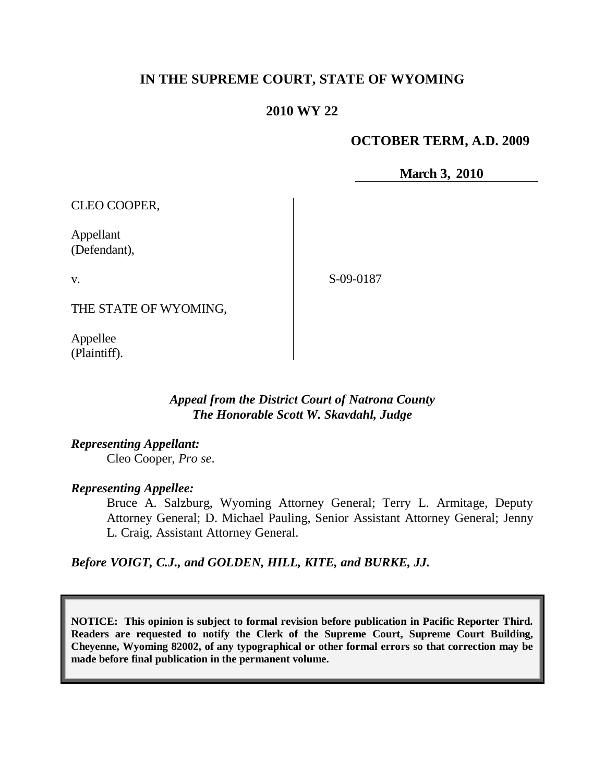## **IN THE SUPREME COURT, STATE OF WYOMING**

## **2010 WY 22**

### **OCTOBER TERM, A.D. 2009**

**March 3, 2010**

CLEO COOPER,

Appellant (Defendant),

v.

S-09-0187

THE STATE OF WYOMING,

Appellee (Plaintiff).

### *Appeal from the District Court of Natrona County The Honorable Scott W. Skavdahl, Judge*

*Representing Appellant:* Cleo Cooper, *Pro se*.

*Representing Appellee:*

Bruce A. Salzburg, Wyoming Attorney General; Terry L. Armitage, Deputy Attorney General; D. Michael Pauling, Senior Assistant Attorney General; Jenny L. Craig, Assistant Attorney General.

*Before VOIGT, C.J., and GOLDEN, HILL, KITE, and BURKE, JJ.*

**NOTICE: This opinion is subject to formal revision before publication in Pacific Reporter Third. Readers are requested to notify the Clerk of the Supreme Court, Supreme Court Building, Cheyenne, Wyoming 82002, of any typographical or other formal errors so that correction may be made before final publication in the permanent volume.**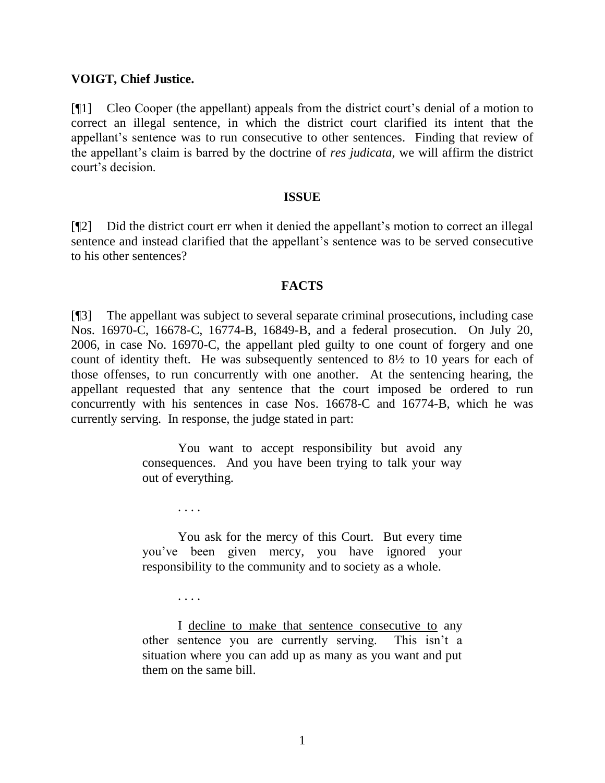#### **VOIGT, Chief Justice.**

[¶1] Cleo Cooper (the appellant) appeals from the district court's denial of a motion to correct an illegal sentence, in which the district court clarified its intent that the appellant's sentence was to run consecutive to other sentences. Finding that review of the appellant's claim is barred by the doctrine of *res judicata*, we will affirm the district court's decision.

#### **ISSUE**

[¶2] Did the district court err when it denied the appellant's motion to correct an illegal sentence and instead clarified that the appellant's sentence was to be served consecutive to his other sentences?

#### **FACTS**

[¶3] The appellant was subject to several separate criminal prosecutions, including case Nos. 16970-C, 16678-C, 16774-B, 16849-B, and a federal prosecution. On July 20, 2006, in case No. 16970-C, the appellant pled guilty to one count of forgery and one count of identity theft. He was subsequently sentenced to 8½ to 10 years for each of those offenses, to run concurrently with one another. At the sentencing hearing, the appellant requested that any sentence that the court imposed be ordered to run concurrently with his sentences in case Nos. 16678-C and 16774-B, which he was currently serving. In response, the judge stated in part:

> You want to accept responsibility but avoid any consequences. And you have been trying to talk your way out of everything.

> You ask for the mercy of this Court. But every time you've been given mercy, you have ignored your responsibility to the community and to society as a whole.

> > . . . .

. . . .

I decline to make that sentence consecutive to any other sentence you are currently serving. This isn't a situation where you can add up as many as you want and put them on the same bill.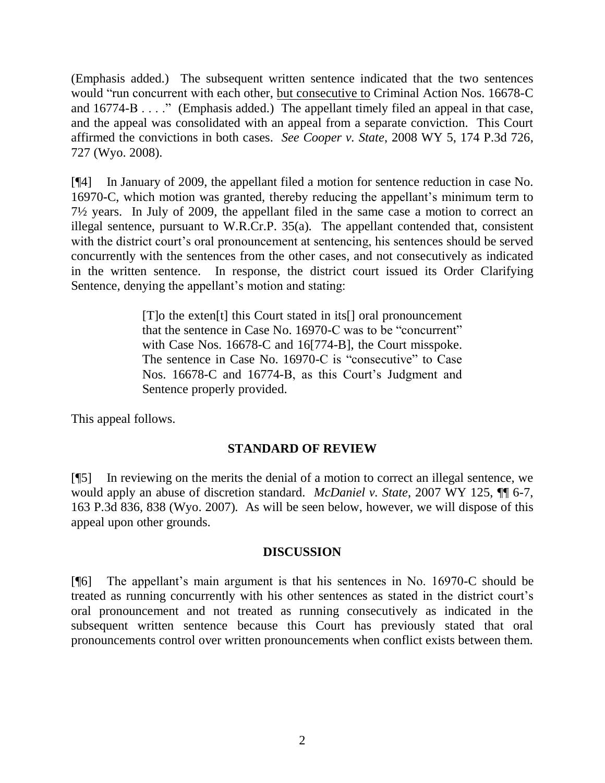(Emphasis added.) The subsequent written sentence indicated that the two sentences would "run concurrent with each other, but consecutive to Criminal Action Nos. 16678-C and 16774-B . . . ." (Emphasis added.) The appellant timely filed an appeal in that case, and the appeal was consolidated with an appeal from a separate conviction. This Court affirmed the convictions in both cases. *See Cooper v. State*, 2008 WY 5, 174 P.3d 726, 727 (Wyo. 2008).

[¶4] In January of 2009, the appellant filed a motion for sentence reduction in case No. 16970-C, which motion was granted, thereby reducing the appellant's minimum term to 7½ years. In July of 2009, the appellant filed in the same case a motion to correct an illegal sentence, pursuant to W.R.Cr.P. 35(a). The appellant contended that, consistent with the district court's oral pronouncement at sentencing, his sentences should be served concurrently with the sentences from the other cases, and not consecutively as indicated in the written sentence. In response, the district court issued its Order Clarifying Sentence, denying the appellant's motion and stating:

> [T]o the exten[t] this Court stated in its[] oral pronouncement that the sentence in Case No. 16970-C was to be "concurrent" with Case Nos. 16678-C and 16[774-B], the Court misspoke. The sentence in Case No. 16970-C is "consecutive" to Case Nos. 16678-C and 16774-B, as this Court's Judgment and Sentence properly provided.

This appeal follows.

## **STANDARD OF REVIEW**

[¶5] In reviewing on the merits the denial of a motion to correct an illegal sentence, we would apply an abuse of discretion standard. *McDaniel v. State*, 2007 WY 125, ¶¶ 6-7, 163 P.3d 836, 838 (Wyo. 2007). As will be seen below, however, we will dispose of this appeal upon other grounds.

### **DISCUSSION**

[¶6] The appellant's main argument is that his sentences in No. 16970-C should be treated as running concurrently with his other sentences as stated in the district court's oral pronouncement and not treated as running consecutively as indicated in the subsequent written sentence because this Court has previously stated that oral pronouncements control over written pronouncements when conflict exists between them.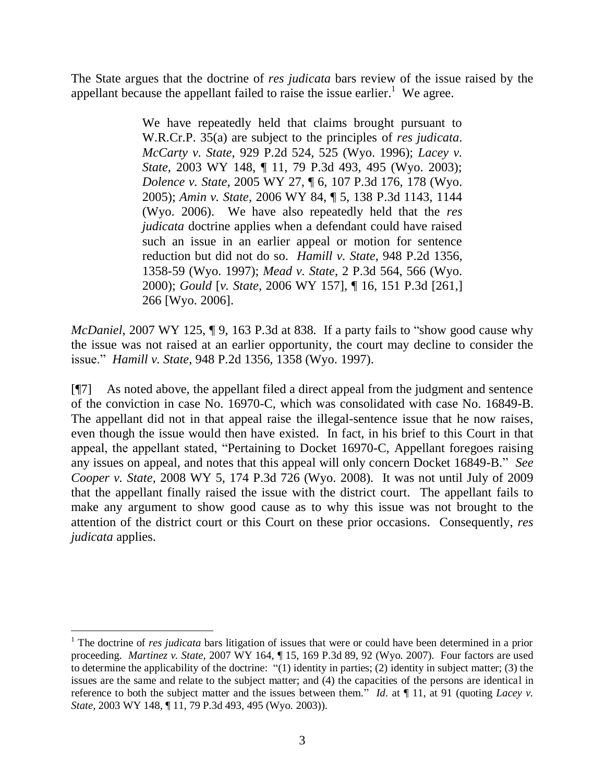The State argues that the doctrine of *res judicata* bars review of the issue raised by the appellant because the appellant failed to raise the issue earlier.<sup>1</sup> We agree.

> We have repeatedly held that claims brought pursuant to W.R.Cr.P. 35(a) are subject to the principles of *res judicata*. *McCarty v. State*, 929 P.2d 524, 525 (Wyo. 1996); *Lacey v. State*, 2003 WY 148, ¶ 11, 79 P.3d 493, 495 (Wyo. 2003); *Dolence v. State*, 2005 WY 27, ¶ 6, 107 P.3d 176, 178 (Wyo. 2005); *Amin v. State*, 2006 WY 84, ¶ 5, 138 P.3d 1143, 1144 (Wyo. 2006). We have also repeatedly held that the *res judicata* doctrine applies when a defendant could have raised such an issue in an earlier appeal or motion for sentence reduction but did not do so. *Hamill v. State*, 948 P.2d 1356, 1358-59 (Wyo. 1997); *Mead v. State*, 2 P.3d 564, 566 (Wyo. 2000); *Gould* [*v. State*, 2006 WY 157], ¶ 16, 151 P.3d [261,] 266 [Wyo. 2006].

*McDaniel*, 2007 WY 125, 19, 163 P.3d at 838. If a party fails to "show good cause why the issue was not raised at an earlier opportunity, the court may decline to consider the issue." *Hamill v. State*, 948 P.2d 1356, 1358 (Wyo. 1997).

[¶7] As noted above, the appellant filed a direct appeal from the judgment and sentence of the conviction in case No. 16970-C, which was consolidated with case No. 16849-B. The appellant did not in that appeal raise the illegal-sentence issue that he now raises, even though the issue would then have existed. In fact, in his brief to this Court in that appeal, the appellant stated, "Pertaining to Docket 16970-C, Appellant foregoes raising any issues on appeal, and notes that this appeal will only concern Docket 16849-B." *See Cooper v. State*, 2008 WY 5, 174 P.3d 726 (Wyo. 2008). It was not until July of 2009 that the appellant finally raised the issue with the district court. The appellant fails to make any argument to show good cause as to why this issue was not brought to the attention of the district court or this Court on these prior occasions. Consequently, *res judicata* applies.

<sup>1</sup> The doctrine of *res judicata* bars litigation of issues that were or could have been determined in a prior proceeding. *Martinez v. State*, 2007 WY 164, ¶ 15, 169 P.3d 89, 92 (Wyo. 2007). Four factors are used to determine the applicability of the doctrine: "(1) identity in parties; (2) identity in subject matter; (3) the issues are the same and relate to the subject matter; and (4) the capacities of the persons are identical in reference to both the subject matter and the issues between them." *Id*. at ¶ 11, at 91 (quoting *Lacey v. State*, 2003 WY 148, ¶ 11, 79 P.3d 493, 495 (Wyo. 2003)).